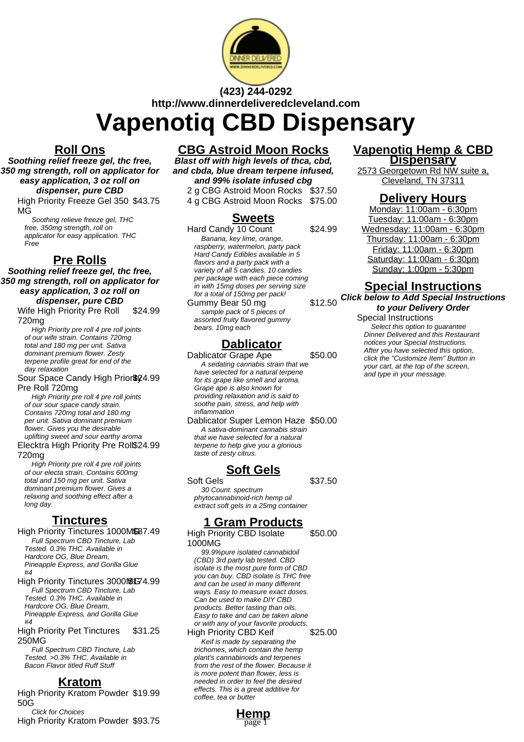

## **(423) 244-0292 http://www.dinnerdeliveredcleveland.com**

# **Vapenotiq CBD Dispensary**

#### **Roll Ons**

**Soothing relief freeze gel, thc free, 350 mg strength, roll on applicator for easy application, 3 oz roll on dispenser, pure CBD**

High Priority Freeze Gel 350 \$43.75 MG

Soothing relieve freeze gel, THC free, 350mg strength, roll on applicator for easy application. THC Free

#### **Pre Rolls**

**Soothing relief freeze gel, thc free, 350 mg strength, roll on applicator for easy application, 3 oz roll on dispenser, pure CBD**

Wife High Priority Pre Roll 720mg \$24.99

High Priority pre roll 4 pre roll joints of our wife strain. Contains 720mg total and 180 mg per unit. Sativa dominant premium flower. Zesty terpene profile great for end of the day relaxation

#### Sour Space Candy High Prior \$24.99 Pre Roll 720mg

High Priority pre roll 4 pre roll joints of our sour space candy strain. Contains 720mg total and 180 mg per unit. Sativa dominant premium flower. Gives you the desirable uplifting sweet and sour earthy aroma

Elecktra High Priority Pre Roll \$24.99 720mg

High Priority pre roll 4 pre roll joints of our electa strain. Contains 600mg total and 150 mg per unit. Sativa dominant premium flower. Gives a relaxing and soothing effect after a long day.

#### **Tinctures**

- High Priority Tinctures 1000MSB7.49 Full Spectrum CBD Tincture, Lab Tested. 0.3% THC. Available in Hardcore OG, Blue Dream, Pineapple Express, and Gorilla Glue  $H\Lambda$
- High Priority Tinctures 3000NG74.99 Full Spectrum CBD Tincture, Lab Tested. 0.3% THC. Available in Hardcore OG, Blue Dream, Pineapple Express, and Gorilla Glue  $H\Lambda$ High Priority Pet Tinctures \$31.25

250MG Full Spectrum CBD Tincture, Lab

Tested. >0.3% THC. Available in Bacon Flavor titled Ruff Stuff

#### **Kratom**

High Priority Kratom Powder \$19.99 50G Click for Choices

High Priority Kratom Powder \$93.75

## **CBG Astroid Moon Rocks**

**Blast off with high levels of thca, cbd, and cbda, blue dream terpene infused, and 99% isolate infused cbg**

2 g CBG Astroid Moon Rocks \$37.50 4 g CBG Astroid Moon Rocks \$75.00

#### **Sweets**

Hard Candy 10 Count \$24.99 Banana, key lime, orange, raspberry, watermelon, party pack Hard Candy Edibles available in 5 flavors and a party pack with a variety of all 5 candies. 10 candies per package with each piece coming in with 15mg doses per serving size for a total of 150mg per pack!

Gummy Bear 50 mg sample pack of 5 pieces of assorted fruity flavored gummy bears. 10mg each

#### **Dablicator**

Dablicator Grape Ape \$50.00 A sedating cannabis strain that we have selected for a natural terpene for its grape like smell and aroma. Grape ape is also known for providing relaxation and is said to soothe pain, stress, and help with inflammation

Dablicator Super Lemon Haze \$50.00 A sativa-dominant cannabis strain that we have selected for a natural terpene to help give you a glorious taste of zesty citrus.

### **Soft Gels**

Soft Gels
\$37.50 30 Count. spectrum phytocannabinoid-rich hemp oil extract soft gels in a 25mg container

### **1 Gram Products**

High Priority CBD Isolate 1000MG

99.9%pure isolated cannabidoil (CBD) 3rd party lab tested. CBD isolate is the most pure form of CBD you can buy. CBD isolate is THC free and can be used in many different ways. Easy to measure exact doses. Can be used to make DIY CBD products. Better tasting than oils. Easy to take and can be taken alone or with any of your favorite products. High Priority CBD Keif \$25.00 Keif is made by separating the trichomes, which contain the hemp plant's cannabinoids and terpenes from the rest of the flower. Because it

is more potent than flower, less is needed in order to feel the desired effects. This is a great additive for coffee, tea or butter

**Hemp**

page 1

#### **Vapenotiq Hemp & CBD Dispensary**

2573 Georgetown Rd NW suite a, Cleveland, TN 37311

#### **Delivery Hours**

Monday: 11:00am - 6:30pm Tuesday: 11:00am - 6:30pm Wednesday: 11:00am - 6:30pm Thursday: 11:00am - 6:30pm Friday: 11:00am - 6:30pm Saturday: 11:00am - 6:30pm Sunday: 1:00pm - 5:30pm

#### **Special Instructions**

**Click below to Add Special Instructions to your Delivery Order**

#### Special Instructions

Select this option to quarantee Dinner Delivered and this Restaurant notices your Special Instructions. After you have selected this option, click the "Customize Item" Button in your cart, at the top of the screen, and type in your message.

\$50.00